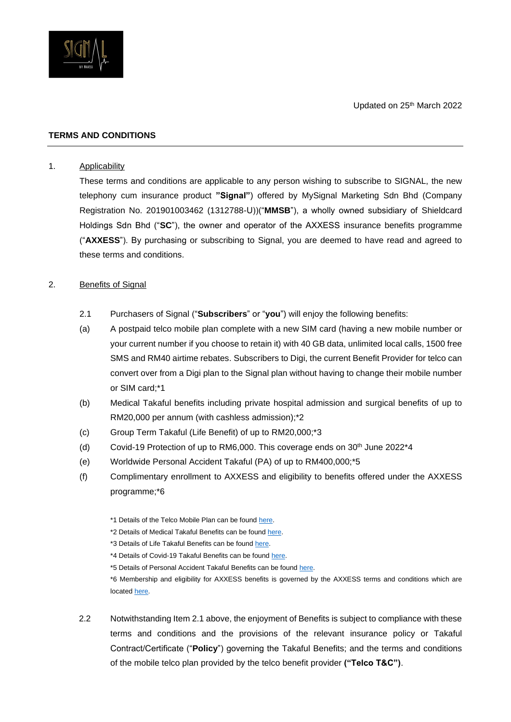

### **TERMS AND CONDITIONS**

#### 1. Applicability

These terms and conditions are applicable to any person wishing to subscribe to SIGNAL, the new telephony cum insurance product **"Signal"**) offered by MySignal Marketing Sdn Bhd (Company Registration No. 201901003462 (1312788-U))("**MMSB**"), a wholly owned subsidiary of Shieldcard Holdings Sdn Bhd ("**SC**"), the owner and operator of the AXXESS insurance benefits programme ("**AXXESS**"). By purchasing or subscribing to Signal, you are deemed to have read and agreed to these terms and conditions.

## 2. Benefits of Signal

- 2.1 Purchasers of Signal ("**Subscribers**" or "**you**") will enjoy the following benefits:
- (a) A postpaid telco mobile plan complete with a new SIM card (having a new mobile number or your current number if you choose to retain it) with 40 GB data, unlimited local calls, 1500 free SMS and RM40 airtime rebates. Subscribers to Digi, the current Benefit Provider for telco can convert over from a Digi plan to the Signal plan without having to change their mobile number or SIM card;\*1
- (b) Medical Takaful benefits including private hospital admission and surgical benefits of up to RM20,000 per annum (with cashless admission);\*2
- (c) Group Term Takaful (Life Benefit) of up to RM20,000;\*3
- (d) Covid-19 Protection of up to RM6,000. This coverage ends on 30th June 2022\*4
- (e) Worldwide Personal Accident Takaful (PA) of up to RM400,000;\*5
- (f) Complimentary enrollment to AXXESS and eligibility to benefits offered under the AXXESS programme;\*6
	- \*1 Details of the Telco Mobile Plan can be foun[d here.](http://www.mysignal.com.my/)
	- \*2 Details of Medical Takaful Benefits can be found [here.](http://www.mysignal.com.my/)
	- \*3 Details of Life Takaful Benefits can be foun[d here.](http://www.mysignal.com.my/)
	- \*4 Details of Covid-19 Takaful Benefits can be foun[d here.](http://www.mysignal.com.my/)
	- \*5 Details of Personal Accident Takaful Benefits can be found [here.](http://www.mysignal.com.my/)

\*6 Membership and eligibility for AXXESS benefits is governed by the AXXESS terms and conditions which are locate[d here.](https://www.axxess.com.my/web/wp-content/uploads/2022/02/AXXESS_TC_20220203.pdf) 

2.2 Notwithstanding Item 2.1 above, the enjoyment of Benefits is subject to compliance with these terms and conditions and the provisions of the relevant insurance policy or Takaful Contract/Certificate ("**Policy**") governing the Takaful Benefits; and the terms and conditions of the mobile telco plan provided by the telco benefit provider **("Telco T&C")**.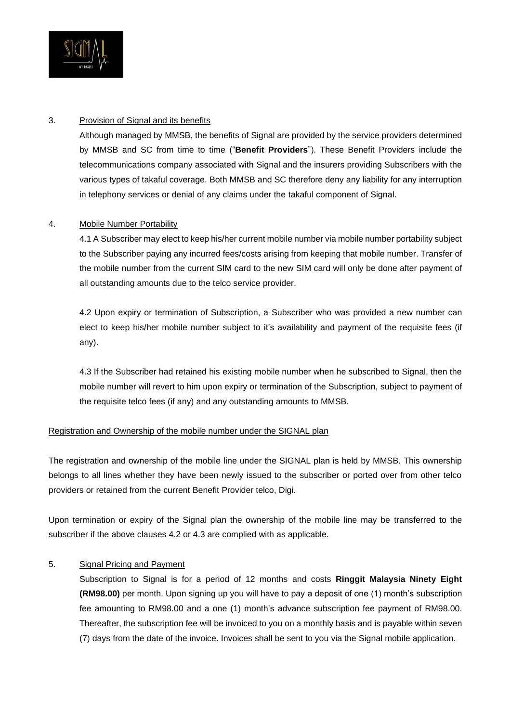

### 3. Provision of Signal and its benefits

Although managed by MMSB, the benefits of Signal are provided by the service providers determined by MMSB and SC from time to time ("**Benefit Providers**"). These Benefit Providers include the telecommunications company associated with Signal and the insurers providing Subscribers with the various types of takaful coverage. Both MMSB and SC therefore deny any liability for any interruption in telephony services or denial of any claims under the takaful component of Signal.

## 4. Mobile Number Portability

4.1 A Subscriber may elect to keep his/her current mobile number via mobile number portability subject to the Subscriber paying any incurred fees/costs arising from keeping that mobile number. Transfer of the mobile number from the current SIM card to the new SIM card will only be done after payment of all outstanding amounts due to the telco service provider.

4.2 Upon expiry or termination of Subscription, a Subscriber who was provided a new number can elect to keep his/her mobile number subject to it's availability and payment of the requisite fees (if any).

4.3 If the Subscriber had retained his existing mobile number when he subscribed to Signal, then the mobile number will revert to him upon expiry or termination of the Subscription, subject to payment of the requisite telco fees (if any) and any outstanding amounts to MMSB.

#### Registration and Ownership of the mobile number under the SIGNAL plan

The registration and ownership of the mobile line under the SIGNAL plan is held by MMSB. This ownership belongs to all lines whether they have been newly issued to the subscriber or ported over from other telco providers or retained from the current Benefit Provider telco, Digi.

Upon termination or expiry of the Signal plan the ownership of the mobile line may be transferred to the subscriber if the above clauses 4.2 or 4.3 are complied with as applicable.

# 5. Signal Pricing and Payment

Subscription to Signal is for a period of 12 months and costs **Ringgit Malaysia Ninety Eight (RM98.00)** per month. Upon signing up you will have to pay a deposit of one (1) month's subscription fee amounting to RM98.00 and a one (1) month's advance subscription fee payment of RM98.00. Thereafter, the subscription fee will be invoiced to you on a monthly basis and is payable within seven (7) days from the date of the invoice. Invoices shall be sent to you via the Signal mobile application.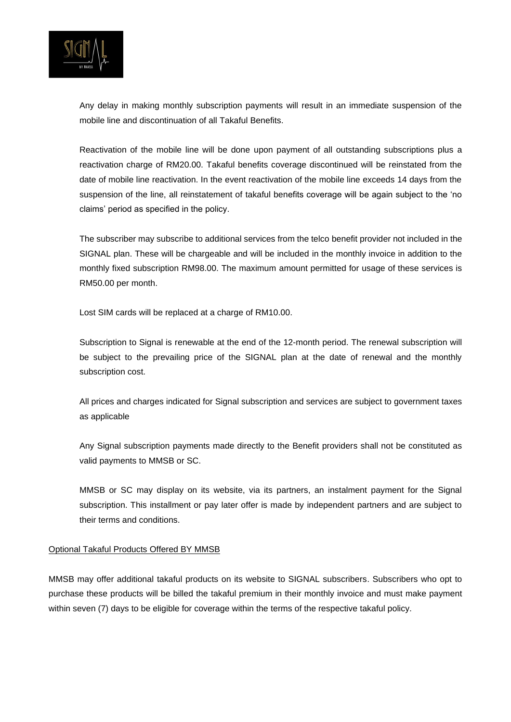

Any delay in making monthly subscription payments will result in an immediate suspension of the mobile line and discontinuation of all Takaful Benefits.

Reactivation of the mobile line will be done upon payment of all outstanding subscriptions plus a reactivation charge of RM20.00. Takaful benefits coverage discontinued will be reinstated from the date of mobile line reactivation. In the event reactivation of the mobile line exceeds 14 days from the suspension of the line, all reinstatement of takaful benefits coverage will be again subject to the 'no claims' period as specified in the policy.

The subscriber may subscribe to additional services from the telco benefit provider not included in the SIGNAL plan. These will be chargeable and will be included in the monthly invoice in addition to the monthly fixed subscription RM98.00. The maximum amount permitted for usage of these services is RM50.00 per month.

Lost SIM cards will be replaced at a charge of RM10.00.

Subscription to Signal is renewable at the end of the 12-month period. The renewal subscription will be subject to the prevailing price of the SIGNAL plan at the date of renewal and the monthly subscription cost.

All prices and charges indicated for Signal subscription and services are subject to government taxes as applicable

Any Signal subscription payments made directly to the Benefit providers shall not be constituted as valid payments to MMSB or SC.

MMSB or SC may display on its website, via its partners, an instalment payment for the Signal subscription. This installment or pay later offer is made by independent partners and are subject to their terms and conditions.

#### Optional Takaful Products Offered BY MMSB

MMSB may offer additional takaful products on its website to SIGNAL subscribers. Subscribers who opt to purchase these products will be billed the takaful premium in their monthly invoice and must make payment within seven (7) days to be eligible for coverage within the terms of the respective takaful policy.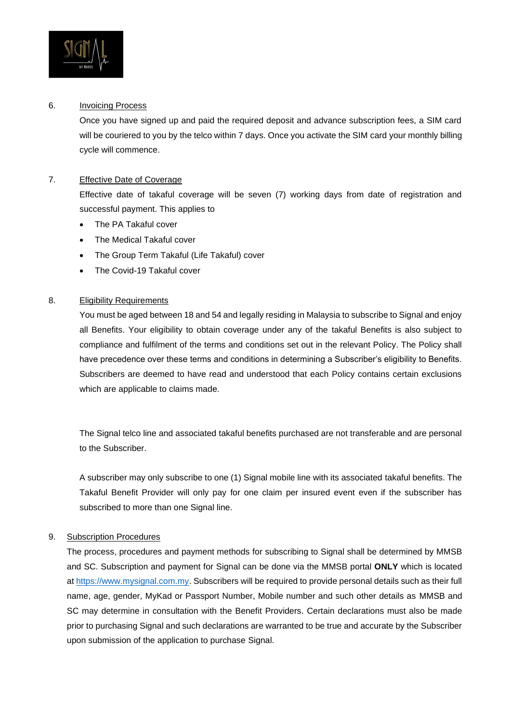

#### 6. Invoicing Process

Once you have signed up and paid the required deposit and advance subscription fees, a SIM card will be couriered to you by the telco within 7 days. Once you activate the SIM card your monthly billing cycle will commence.

## 7. Effective Date of Coverage

Effective date of takaful coverage will be seven (7) working days from date of registration and successful payment. This applies to

- The PA Takaful cover
- The Medical Takaful cover
- The Group Term Takaful (Life Takaful) cover
- The Covid-19 Takaful cover

#### 8. Eligibility Requirements

You must be aged between 18 and 54 and legally residing in Malaysia to subscribe to Signal and enjoy all Benefits. Your eligibility to obtain coverage under any of the takaful Benefits is also subject to compliance and fulfilment of the terms and conditions set out in the relevant Policy. The Policy shall have precedence over these terms and conditions in determining a Subscriber's eligibility to Benefits. Subscribers are deemed to have read and understood that each Policy contains certain exclusions which are applicable to claims made.

The Signal telco line and associated takaful benefits purchased are not transferable and are personal to the Subscriber.

A subscriber may only subscribe to one (1) Signal mobile line with its associated takaful benefits. The Takaful Benefit Provider will only pay for one claim per insured event even if the subscriber has subscribed to more than one Signal line.

#### 9. Subscription Procedures

The process, procedures and payment methods for subscribing to Signal shall be determined by MMSB and SC. Subscription and payment for Signal can be done via the MMSB portal **ONLY** which is located a[t https://www.mysignal.com.my.](https://www.mysignal.com.my/) Subscribers will be required to provide personal details such as their full name, age, gender, MyKad or Passport Number, Mobile number and such other details as MMSB and SC may determine in consultation with the Benefit Providers. Certain declarations must also be made prior to purchasing Signal and such declarations are warranted to be true and accurate by the Subscriber upon submission of the application to purchase Signal.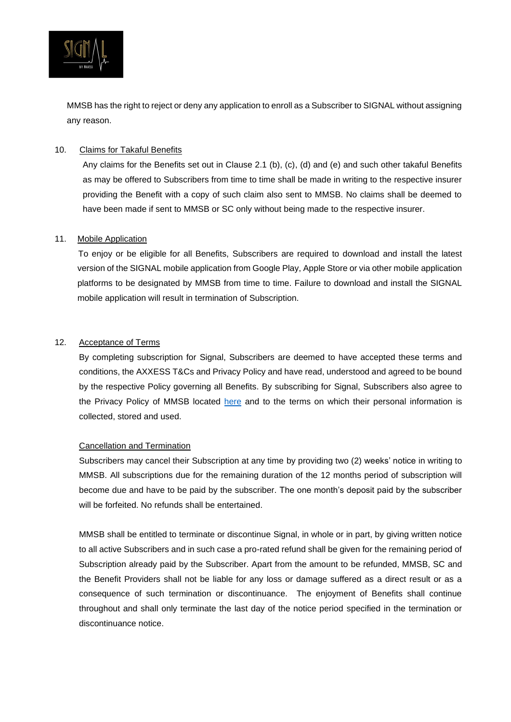

MMSB has the right to reject or deny any application to enroll as a Subscriber to SIGNAL without assigning any reason.

### 10. Claims for Takaful Benefits

Any claims for the Benefits set out in Clause 2.1 (b), (c), (d) and (e) and such other takaful Benefits as may be offered to Subscribers from time to time shall be made in writing to the respective insurer providing the Benefit with a copy of such claim also sent to MMSB. No claims shall be deemed to have been made if sent to MMSB or SC only without being made to the respective insurer.

#### 11. Mobile Application

 To enjoy or be eligible for all Benefits, Subscribers are required to download and install the latest version of the SIGNAL mobile application from Google Play, Apple Store or via other mobile application platforms to be designated by MMSB from time to time. Failure to download and install the SIGNAL mobile application will result in termination of Subscription.

## 12. Acceptance of Terms

By completing subscription for Signal, Subscribers are deemed to have accepted these terms and conditions, the AXXESS T&Cs and Privacy Policy and have read, understood and agreed to be bound by the respective Policy governing all Benefits. By subscribing for Signal, Subscribers also agree to the Privacy Policy of MMSB located [here](https://www.axxess.com.my/privacy) and to the terms on which their personal information is collected, stored and used.

#### Cancellation and Termination

Subscribers may cancel their Subscription at any time by providing two (2) weeks' notice in writing to MMSB. All subscriptions due for the remaining duration of the 12 months period of subscription will become due and have to be paid by the subscriber. The one month's deposit paid by the subscriber will be forfeited. No refunds shall be entertained.

MMSB shall be entitled to terminate or discontinue Signal, in whole or in part, by giving written notice to all active Subscribers and in such case a pro-rated refund shall be given for the remaining period of Subscription already paid by the Subscriber. Apart from the amount to be refunded, MMSB, SC and the Benefit Providers shall not be liable for any loss or damage suffered as a direct result or as a consequence of such termination or discontinuance. The enjoyment of Benefits shall continue throughout and shall only terminate the last day of the notice period specified in the termination or discontinuance notice.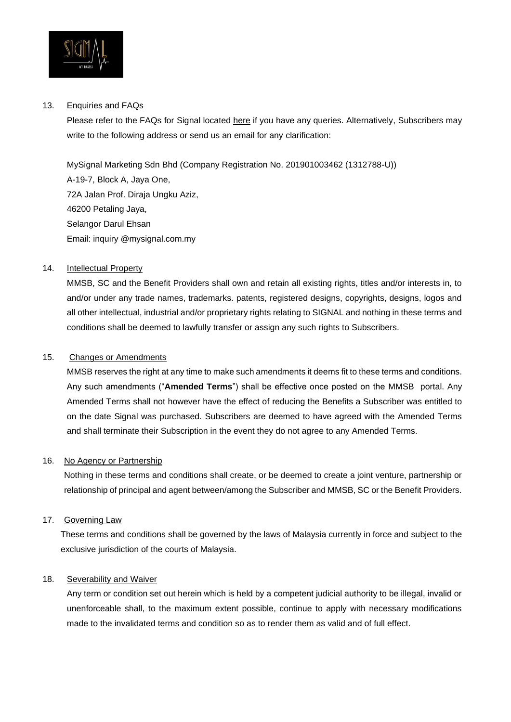

### 13. Enquiries and FAQs

Please refer to the FAQs for Signal located here if you have any queries. Alternatively, Subscribers may write to the following address or send us an email for any clarification:

MySignal Marketing Sdn Bhd (Company Registration No. 201901003462 (1312788-U)) A-19-7, Block A, Jaya One, 72A Jalan Prof. Diraja Ungku Aziz, 46200 Petaling Jaya, Selangor Darul Ehsan Email: inquiry @mysignal.com.my

# 14. Intellectual Property

MMSB, SC and the Benefit Providers shall own and retain all existing rights, titles and/or interests in, to and/or under any trade names, trademarks. patents, registered designs, copyrights, designs, logos and all other intellectual, industrial and/or proprietary rights relating to SIGNAL and nothing in these terms and conditions shall be deemed to lawfully transfer or assign any such rights to Subscribers.

## 15. Changes or Amendments

MMSB reserves the right at any time to make such amendments it deems fit to these terms and conditions. Any such amendments ("**Amended Terms**") shall be effective once posted on the MMSB portal. Any Amended Terms shall not however have the effect of reducing the Benefits a Subscriber was entitled to on the date Signal was purchased. Subscribers are deemed to have agreed with the Amended Terms and shall terminate their Subscription in the event they do not agree to any Amended Terms.

# 16. No Agency or Partnership

Nothing in these terms and conditions shall create, or be deemed to create a joint venture, partnership or relationship of principal and agent between/among the Subscriber and MMSB, SC or the Benefit Providers.

# 17. Governing Law

These terms and conditions shall be governed by the laws of Malaysia currently in force and subject to the exclusive jurisdiction of the courts of Malaysia.

#### 18. Severability and Waiver

Any term or condition set out herein which is held by a competent judicial authority to be illegal, invalid or unenforceable shall, to the maximum extent possible, continue to apply with necessary modifications made to the invalidated terms and condition so as to render them as valid and of full effect.